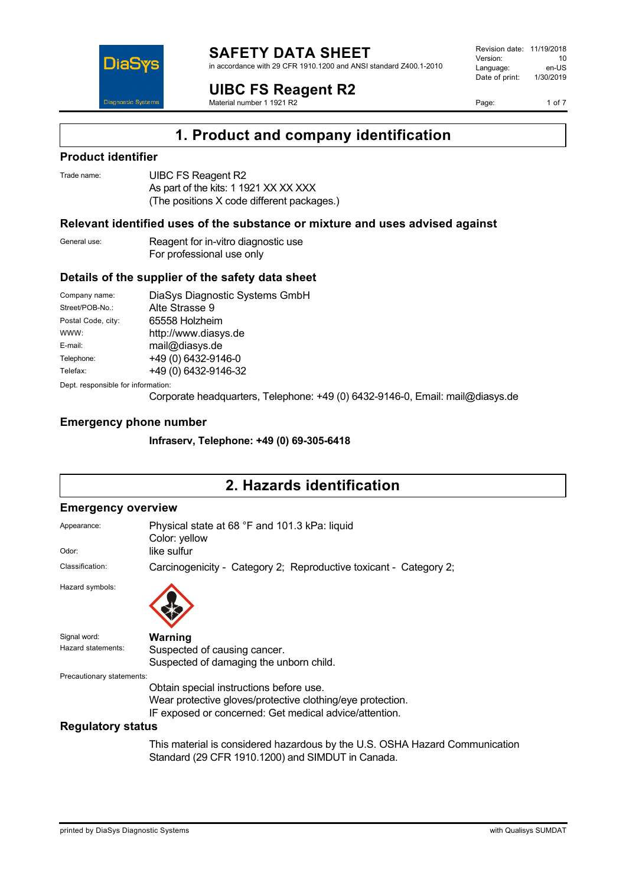

in accordance with 29 CFR 1910.1200 and ANSI standard Z400.1-2010

**UIBC FS Reagent R2**

Material number 1 1921 R2

Revision date: 11/19/2018 Version: 10<br>Language: en-LIS Language: en-US<br>Date of print: 1/30/2019  $Date$  of print:

Page: 1 of 7



## **Product identifier**

DiaS

**Diagnostic Systen** 

| Trade name: | UIBC FS Reagent R2                         |
|-------------|--------------------------------------------|
|             | As part of the kits: 1 1921 XX XX XXX      |
|             | (The positions X code different packages.) |

### **Relevant identified uses of the substance or mixture and uses advised against**

| General use: | Reagent for in-vitro diagnostic use |
|--------------|-------------------------------------|
|              | For professional use only           |

## **Details of the supplier of the safety data sheet**

| Company name:                      | DiaSys Diagnostic Systems GmbH |  |
|------------------------------------|--------------------------------|--|
| Street/POB-No.:                    | Alte Strasse 9                 |  |
| Postal Code, city:                 | 65558 Holzheim                 |  |
| WWW:                               | http://www.diasys.de           |  |
| E-mail:                            | mail@diasys.de                 |  |
| Telephone:                         | +49 (0) 6432-9146-0            |  |
| Telefax:                           | +49 (0) 6432-9146-32           |  |
| Dept. responsible for information: |                                |  |

Corporate headquarters, Telephone: +49 (0) 6432-9146-0, Email: mail@diasys.de

#### **Emergency phone number**

**Infraserv, Telephone: +49 (0) 69-305-6418**

# **2. Hazards identification**

#### **Emergency overview**

| Appearance:                        | Physical state at 68 °F and 101.3 kPa: liquid<br>Color: yellow                                                                                                  |
|------------------------------------|-----------------------------------------------------------------------------------------------------------------------------------------------------------------|
| Odor:                              | like sulfur                                                                                                                                                     |
| Classification:                    | Carcinogenicity - Category 2; Reproductive toxicant - Category 2;                                                                                               |
| Hazard symbols:                    |                                                                                                                                                                 |
| Signal word:<br>Hazard statements: | Warning<br>Suspected of causing cancer.<br>Suspected of damaging the unborn child.                                                                              |
| Precautionary statements:          | Obtain special instructions before use.<br>Wear protective gloves/protective clothing/eye protection.<br>IF exposed or concerned: Get medical advice/attention. |
| <b>Regulatory status</b>           |                                                                                                                                                                 |

This material is considered hazardous by the U.S. OSHA Hazard Communication Standard (29 CFR 1910.1200) and SIMDUT in Canada.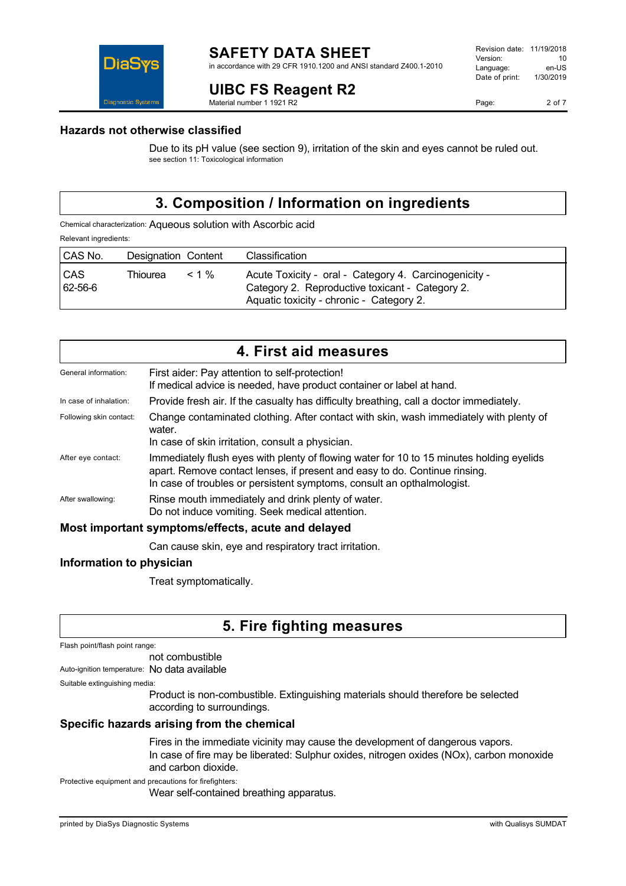

# **UIBC FS Reagent R2**

Material number 1 1921 R2

Page: 2 of 7

## **Hazards not otherwise classified**

Due to its pH value (see section 9), irritation of the skin and eyes cannot be ruled out. see section 11: Toxicological information

# **3. Composition / Information on ingredients**

Chemical characterization: Aqueous solution with Ascorbic acid Relevant ingredients:

| CAS No.          | Designation Content |          | Classification                                                                                                                                       |
|------------------|---------------------|----------|------------------------------------------------------------------------------------------------------------------------------------------------------|
| l CAS<br>62-56-6 | Thiourea            | $< 1 \%$ | Acute Toxicity - oral - Category 4. Carcinogenicity -<br>Category 2. Reproductive toxicant - Category 2.<br>Aquatic toxicity - chronic - Category 2. |

| 4. First aid measures                              |                                                                                                                                                                                                                                                  |  |
|----------------------------------------------------|--------------------------------------------------------------------------------------------------------------------------------------------------------------------------------------------------------------------------------------------------|--|
| General information:                               | First aider: Pay attention to self-protection!<br>If medical advice is needed, have product container or label at hand.                                                                                                                          |  |
| In case of inhalation:                             | Provide fresh air. If the casualty has difficulty breathing, call a doctor immediately.                                                                                                                                                          |  |
| Following skin contact:                            | Change contaminated clothing. After contact with skin, wash immediately with plenty of<br>water.<br>In case of skin irritation, consult a physician.                                                                                             |  |
| After eye contact:                                 | Immediately flush eyes with plenty of flowing water for 10 to 15 minutes holding eyelids<br>apart. Remove contact lenses, if present and easy to do. Continue rinsing.<br>In case of troubles or persistent symptoms, consult an opthalmologist. |  |
| After swallowing:                                  | Rinse mouth immediately and drink plenty of water.<br>Do not induce vomiting. Seek medical attention.                                                                                                                                            |  |
| Most important symptoms/effects, acute and delayed |                                                                                                                                                                                                                                                  |  |
|                                                    | Can cause skin, eye and respiratory tract irritation.                                                                                                                                                                                            |  |

## **Information to physician**

Treat symptomatically.

# **5. Fire fighting measures**

| Flash point/flash point range: |  |
|--------------------------------|--|
|--------------------------------|--|

not combustible Auto-ignition temperature: No data available

Suitable extinguishing media:

Product is non-combustible. Extinguishing materials should therefore be selected according to surroundings.

## **Specific hazards arising from the chemical**

Fires in the immediate vicinity may cause the development of dangerous vapors. In case of fire may be liberated: Sulphur oxides, nitrogen oxides (NOx), carbon monoxide and carbon dioxide.

Protective equipment and precautions for firefighters:

Wear self-contained breathing apparatus.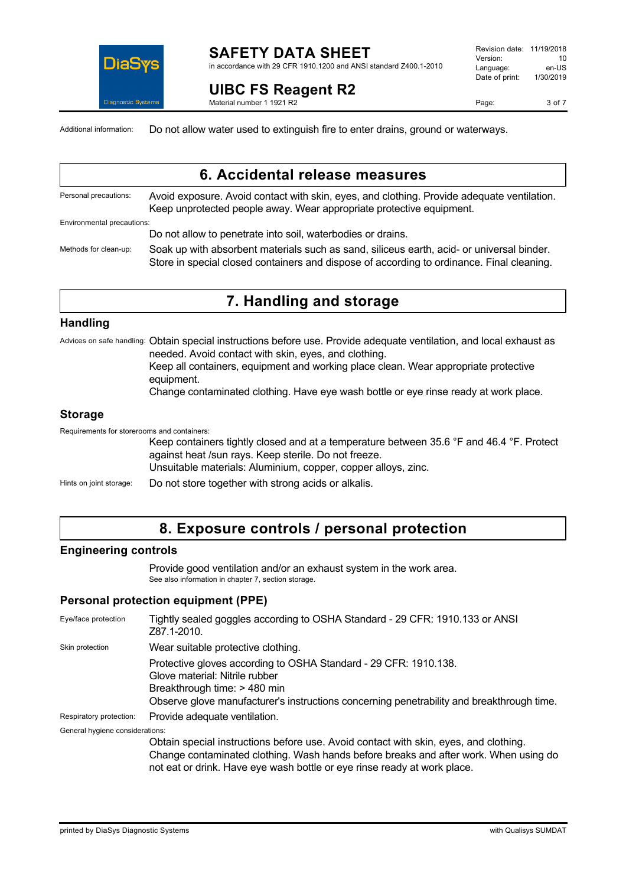

#### **SAFETY DATA SHEET** in accordance with 29 CFR 1910.1200 and ANSI standard Z400.1-2010

**UIBC FS Reagent R2** Material number 1 1921 R2

Revision date: 11/19/2018 Version: 10<br>Language: en-LIS Language: en-US<br>Date of print: 1/30/2019  $Date$  of print:

Page: 3 of 7

Additional information: Do not allow water used to extinguish fire to enter drains, ground or waterways.

|                            | 6. Accidental release measures                                                                                                                                                         |
|----------------------------|----------------------------------------------------------------------------------------------------------------------------------------------------------------------------------------|
| Personal precautions:      | Avoid exposure. Avoid contact with skin, eyes, and clothing. Provide adequate ventilation.<br>Keep unprotected people away. Wear appropriate protective equipment.                     |
| Environmental precautions: |                                                                                                                                                                                        |
|                            | Do not allow to penetrate into soil, waterbodies or drains.                                                                                                                            |
| Methods for clean-up:      | Soak up with absorbent materials such as sand, siliceus earth, acid- or universal binder.<br>Store in special closed containers and dispose of according to ordinance. Final cleaning. |

## **7. Handling and storage**

#### **Handling**

Advices on safe handling: Obtain special instructions before use. Provide adequate ventilation, and local exhaust as needed. Avoid contact with skin, eyes, and clothing.

Keep all containers, equipment and working place clean. Wear appropriate protective equipment.

Change contaminated clothing. Have eye wash bottle or eye rinse ready at work place.

## **Storage**

Requirements for storerooms and containers:

Keep containers tightly closed and at a temperature between 35.6 °F and 46.4 °F. Protect against heat /sun rays. Keep sterile. Do not freeze. Unsuitable materials: Aluminium, copper, copper alloys, zinc.

Hints on joint storage: Do not store together with strong acids or alkalis.

# **8. Exposure controls / personal protection**

## **Engineering controls**

Provide good ventilation and/or an exhaust system in the work area. See also information in chapter 7, section storage.

## **Personal protection equipment (PPE)**

| Eye/face protection             | Tightly sealed goggles according to OSHA Standard - 29 CFR: 1910.133 or ANSI<br>Z87.1-2010.                                                                                                                                                              |
|---------------------------------|----------------------------------------------------------------------------------------------------------------------------------------------------------------------------------------------------------------------------------------------------------|
| Skin protection                 | Wear suitable protective clothing.                                                                                                                                                                                                                       |
|                                 | Protective gloves according to OSHA Standard - 29 CFR: 1910.138.<br>Glove material: Nitrile rubber<br>Breakthrough time: > 480 min<br>Observe glove manufacturer's instructions concerning penetrability and breakthrough time.                          |
| Respiratory protection:         | Provide adequate ventilation.                                                                                                                                                                                                                            |
| General hygiene considerations: |                                                                                                                                                                                                                                                          |
|                                 | Obtain special instructions before use. Avoid contact with skin, eyes, and clothing.<br>Change contaminated clothing. Wash hands before breaks and after work. When using do<br>not eat or drink. Have eye wash bottle or eye rinse ready at work place. |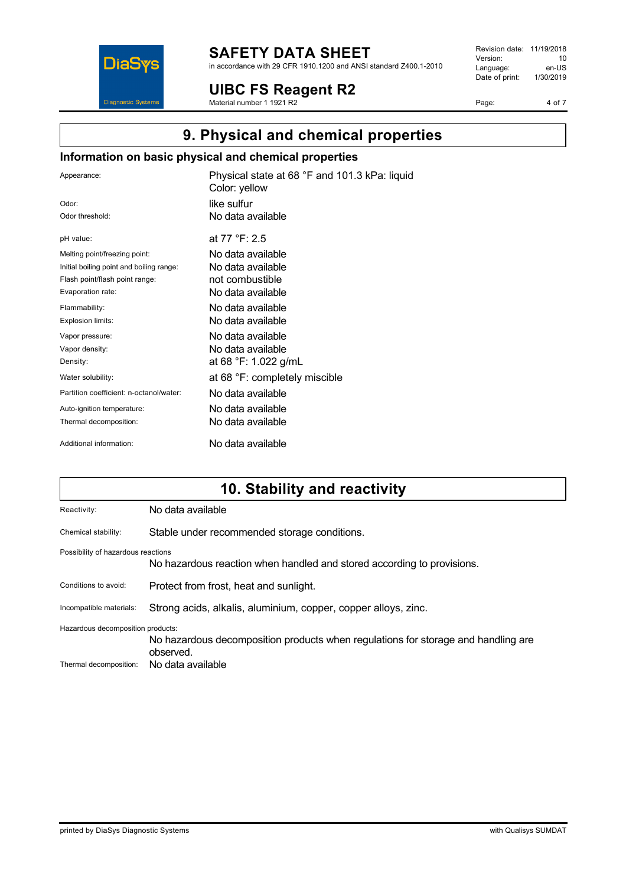

# **SAFETY DATA SHEET**

in accordance with 29 CFR 1910.1200 and ANSI standard Z400.1-2010

**UIBC FS Reagent R2**

Material number 1 1921 R2

Revision date: 11/19/2018 Version: 10<br>
Language: en-US Language: en-US<br>Date of print: 1/30/2019  $Date$  of print:

Page: 4 of 7

# **9. Physical and chemical properties**

## **Information on basic physical and chemical properties**

| Appearance:                              | Physical state at 68 °F and 101.3 kPa: liquid<br>Color: yellow |
|------------------------------------------|----------------------------------------------------------------|
| Odor:                                    | like sulfur                                                    |
| Odor threshold:                          | No data available                                              |
| pH value:                                | at 77 °F: 2.5                                                  |
| Melting point/freezing point:            | No data available                                              |
| Initial boiling point and boiling range: | No data available                                              |
| Flash point/flash point range:           | not combustible                                                |
| Evaporation rate:                        | No data available                                              |
| Flammability:                            | No data available                                              |
| Explosion limits:                        | No data available                                              |
| Vapor pressure:                          | No data available                                              |
| Vapor density:                           | No data available                                              |
| Density:                                 | at 68 °F: 1.022 g/mL                                           |
| Water solubility:                        | at 68 °F: completely miscible                                  |
| Partition coefficient: n-octanol/water:  | No data available                                              |
| Auto-ignition temperature:               | No data available                                              |
| Thermal decomposition:                   | No data available                                              |
| Additional information:                  | No data available                                              |

# **10. Stability and reactivity**

| Reactivity:                        | No data available                                                                              |  |
|------------------------------------|------------------------------------------------------------------------------------------------|--|
| Chemical stability:                | Stable under recommended storage conditions.                                                   |  |
| Possibility of hazardous reactions | No hazardous reaction when handled and stored according to provisions.                         |  |
| Conditions to avoid:               | Protect from frost, heat and sunlight.                                                         |  |
| Incompatible materials:            | Strong acids, alkalis, aluminium, copper, copper alloys, zinc.                                 |  |
| Hazardous decomposition products:  |                                                                                                |  |
|                                    | No hazardous decomposition products when regulations for storage and handling are<br>observed. |  |
| Thermal decomposition:             | No data available                                                                              |  |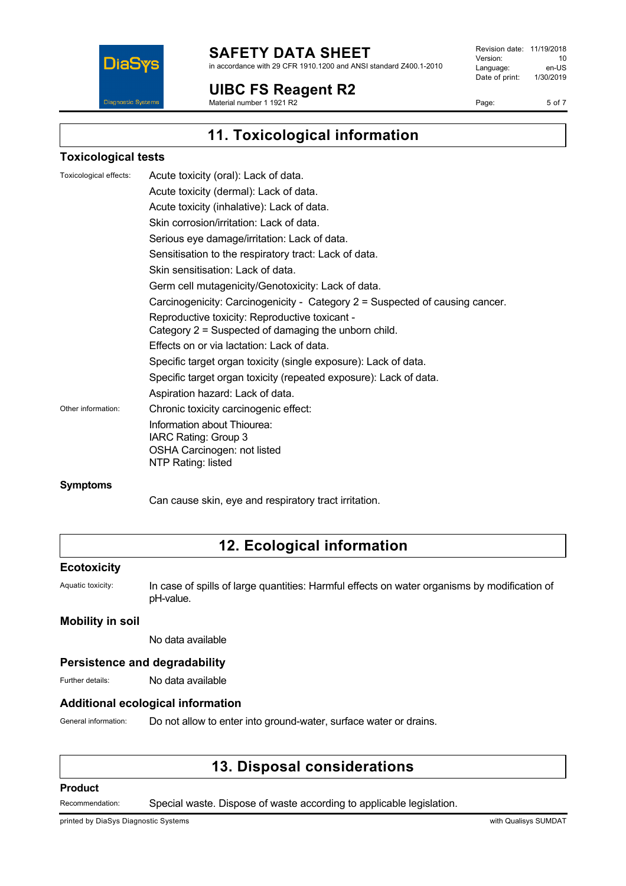

## **SAFETY DATA SHEET**

in accordance with 29 CFR 1910.1200 and ANSI standard Z400.1-2010

**UIBC FS Reagent R2**

Material number 1 1921 R2

Revision date: 11/19/2018 Version: 10<br>
Language: en-US Language: Date of print: 1/30/2019

Page: 5 of 7

**11. Toxicological information**

## **Toxicological tests**

| Toxicological effects: | Acute toxicity (oral): Lack of data.                                         |
|------------------------|------------------------------------------------------------------------------|
|                        | Acute toxicity (dermal): Lack of data.                                       |
|                        | Acute toxicity (inhalative): Lack of data.                                   |
|                        | Skin corrosion/irritation: Lack of data.                                     |
|                        | Serious eye damage/irritation: Lack of data.                                 |
|                        | Sensitisation to the respiratory tract: Lack of data.                        |
|                        | Skin sensitisation: Lack of data.                                            |
|                        | Germ cell mutagenicity/Genotoxicity: Lack of data.                           |
|                        | Carcinogenicity: Carcinogenicity - Category 2 = Suspected of causing cancer. |
|                        | Reproductive toxicity: Reproductive toxicant -                               |
|                        | Category 2 = Suspected of damaging the unborn child.                         |
|                        | Effects on or via lactation: Lack of data.                                   |
|                        | Specific target organ toxicity (single exposure): Lack of data.              |
|                        | Specific target organ toxicity (repeated exposure): Lack of data.            |
|                        | Aspiration hazard: Lack of data.                                             |
| Other information:     | Chronic toxicity carcinogenic effect:                                        |
|                        | Information about Thiourea:                                                  |
|                        | IARC Rating: Group 3                                                         |
|                        | OSHA Carcinogen: not listed                                                  |
|                        | NTP Rating: listed                                                           |
|                        |                                                                              |

#### **Symptoms**

Can cause skin, eye and respiratory tract irritation.

# **12. Ecological information**

#### **Ecotoxicity**

Aquatic toxicity: In case of spills of large quantities: Harmful effects on water organisms by modification of pH-value.

### **Mobility in soil**

No data available

### **Persistence and degradability**

Further details: No data available

#### **Additional ecological information**

General information: Do not allow to enter into ground-water, surface water or drains.

# **13. Disposal considerations**

#### **Product**

Recommendation: Special waste. Dispose of waste according to applicable legislation.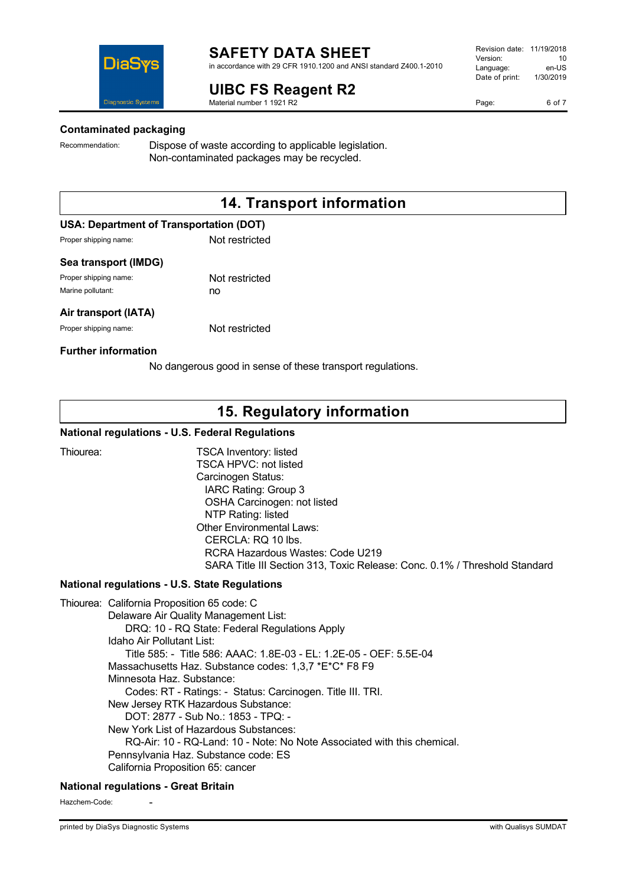

# **UIBC FS Reagent R2**

Material number 1 1921 R2

Page: 6 of 7



#### **Contaminated packaging**

Recommendation: Dispose of waste according to applicable legislation. Non-contaminated packages may be recycled.

# **14. Transport information**

## **USA: Department of Transportation (DOT)**

Proper shipping name: Not restricted

#### **Sea transport (IMDG)**

Proper shipping name: Not restricted Marine pollutant: no

#### **Air transport (IATA)**

Proper shipping name: Not restricted

#### **Further information**

No dangerous good in sense of these transport regulations.

# **15. Regulatory information**

#### **National regulations - U.S. Federal Regulations**

Thiourea: TSCA Inventory: listed TSCA HPVC: not listed Carcinogen Status: IARC Rating: Group 3 OSHA Carcinogen: not listed NTP Rating: listed Other Environmental Laws: CERCLA: RQ 10 lbs. RCRA Hazardous Wastes: Code U219 SARA Title III Section 313, Toxic Release: Conc. 0.1% / Threshold Standard

## **National regulations - U.S. State Regulations**

Thiourea: California Proposition 65 code: C Delaware Air Quality Management List: DRQ: 10 - RQ State: Federal Regulations Apply Idaho Air Pollutant List: Title 585: - Title 586: AAAC: 1.8E-03 - EL: 1.2E-05 - OEF: 5.5E-04 Massachusetts Haz. Substance codes: 1,3,7 \*E\*C\* F8 F9 Minnesota Haz. Substance: Codes: RT - Ratings: - Status: Carcinogen. Title III. TRI. New Jersey RTK Hazardous Substance: DOT: 2877 - Sub No.: 1853 - TPQ: - New York List of Hazardous Substances: RQ-Air: 10 - RQ-Land: 10 - Note: No Note Associated with this chemical. Pennsylvania Haz. Substance code: ES California Proposition 65: cancer

## **National regulations - Great Britain**

Hazchem-Code: